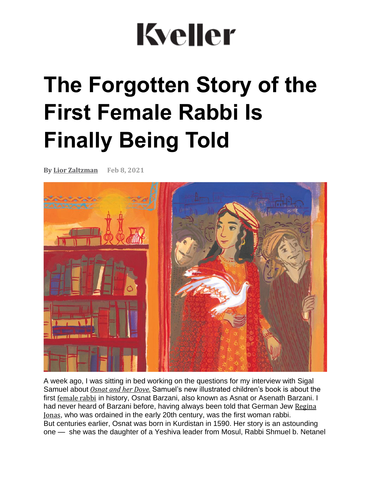# **Kveller**

## **The Forgotten Story of the First Female Rabbi Is Finally Being Told**

**By Lior [Zaltzman](https://www.kveller.com/author/lior-zaltzman/) Feb 8, 2021**



A week ago, I was sitting in bed working on the questions for my interview with Sigal Samuel about *[Osnat](https://amzn.to/3twqJaf) and her Dove.* Samuel's new illustrated children's book is about the first [female](https://www.kveller.com/meet-regina-jonas-the-badass-first-female-rabbi/) rabbi in history, Osnat Barzani, also known as Asnat or Asenath Barzani. I had never heard of Barzani before, having always been told that German Jew [Regina](https://www.kveller.com/meet-regina-jonas-the-badass-first-female-rabbi/) [Jonas](https://www.kveller.com/meet-regina-jonas-the-badass-first-female-rabbi/), who was ordained in the early 20th century, was the first woman rabbi. But centuries earlier, Osnat was born in Kurdistan in 1590. Her story is an astounding one — she was the daughter of a Yeshiva leader from Mosul, Rabbi Shmuel b. Netanel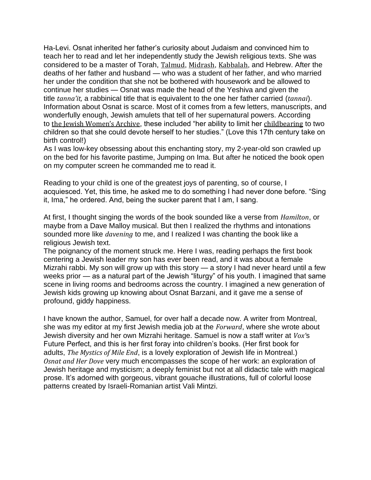Ha-Levi. Osnat inherited her father's curiosity about Judaism and convinced him to teach her to read and let her independently study the Jewish religious texts. She was considered to be a master of Torah, [Talmud](https://www.myjewishlearning.com/article/talmud-101/), [Midrash](https://www.myjewishlearning.com/article/midrash-101/), [Kabbalah](https://www.myjewishlearning.com/article/kabbalah-mysticism-101/), and Hebrew. After the deaths of her father and husband — who was a student of her father, and who married her under the condition that she not be bothered with housework and be allowed to continue her studies — Osnat was made the head of the Yeshiva and given the title *tanna'it,* a rabbinical title that is equivalent to the one her father carried (*tannai*). Information about Osnat is scarce. Most of it comes from a few letters, manuscripts, and wonderfully enough, Jewish amulets that tell of her supernatural powers. According to the Jewish [Women's](https://jwa.org/encyclopedia/article/barazani-asnat-bat-samuel) Archive, these included "her ability to limit her [childbearing](https://www.kveller.com/article/sephardic-pregnancy-celebration/) to two children so that she could devote herself to her studies." (Love this 17th century take on birth control!)

As I was low-key obsessing about this enchanting story, my 2-year-old son crawled up on the bed for his favorite pastime, Jumping on Ima. But after he noticed the book open on my computer screen he commanded me to read it.

Reading to your child is one of the greatest joys of parenting, so of course, I acquiesced. Yet, this time, he asked me to do something I had never done before. "Sing it, Ima," he ordered. And, being the sucker parent that I am, I sang.

At first, I thought singing the words of the book sounded like a verse from *Hamilton*, or maybe from a Dave Malloy musical. But then I realized the rhythms and intonations sounded more like *davening* to me, and I realized I was chanting the book like a religious Jewish text.

The poignancy of the moment struck me. Here I was, reading perhaps the first book centering a Jewish leader my son has ever been read, and it was about a female Mizrahi rabbi. My son will grow up with this story  $-$  a story I had never heard until a few weeks prior — as a natural part of the Jewish "liturgy" of his youth. I imagined that same scene in living rooms and bedrooms across the country. I imagined a new generation of Jewish kids growing up knowing about Osnat Barzani, and it gave me a sense of profound, giddy happiness.

I have known the author, Samuel, for over half a decade now. A writer from Montreal, she was my editor at my first Jewish media job at the *Forward*, where she wrote about Jewish diversity and her own Mizrahi heritage. Samuel is now a staff writer at *Vox'*s Future Perfect, and this is her first foray into children's books. (Her first book for adults, *The Mystics of Mile End*, is a lovely exploration of Jewish life in Montreal.) *[Osnat](https://amzn.to/3twqJaf) and Her Dove* very much encompasses the scope of her work: an exploration of Jewish heritage and mysticism; a deeply feminist but not at all didactic tale with magical prose. It's adorned with gorgeous, vibrant gouache illustrations, full of colorful loose patterns created by Israeli-Romanian artist Vali Mintzi.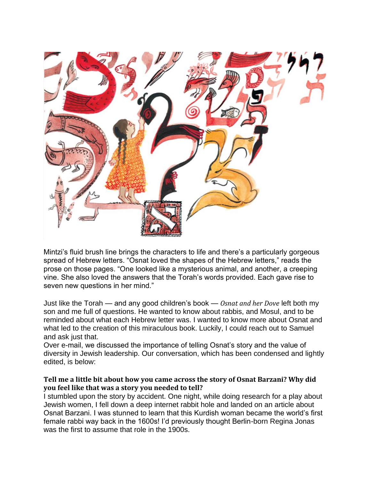

Mintzi's fluid brush line brings the characters to life and there's a particularly gorgeous spread of Hebrew letters. "Osnat loved the shapes of the Hebrew letters," reads the prose on those pages. "One looked like a mysterious animal, and another, a creeping vine. She also loved the answers that the Torah's words provided. Each gave rise to seven new questions in her mind."

Just like the Torah — and any good children's book — *Osnat and her Dove* left both my son and me full of questions. He wanted to know about rabbis, and Mosul, and to be reminded about what each Hebrew letter was. I wanted to know more about Osnat and what led to the creation of this miraculous book. Luckily, I could reach out to Samuel and ask just that.

Over e-mail, we discussed the importance of telling Osnat's story and the value of diversity in Jewish leadership. Our conversation, which has been condensed and lightly edited, is below:

#### **Tell me a little bit about how you came across the story of Osnat Barzani? Why did you feel like that was a story you needed to tell?**

I stumbled upon the story by accident. One night, while doing research for a play about Jewish women, I fell down a deep internet rabbit hole and landed on an article about Osnat Barzani. I was stunned to learn that this Kurdish woman became the world's first female rabbi way back in the 1600s! I'd previously thought Berlin-born Regina Jonas was the first to assume that role in the 1900s.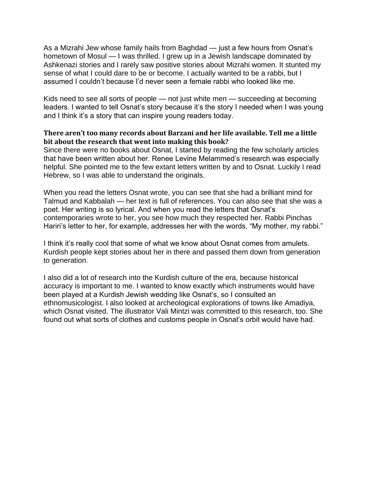As a Mizrahi Jew whose family hails from Baghdad — just a few hours from Osnat's hometown of Mosul — I was thrilled. I grew up in a Jewish landscape dominated by Ashkenazi stories and I rarely saw positive stories about Mizrahi women. It stunted my sense of what I could dare to be or become. I actually wanted to be a rabbi, but I assumed I couldn't because I'd never seen a female rabbi who looked like me.

Kids need to see all sorts of people — not just white men — succeeding at becoming leaders. I wanted to tell Osnat's story because it's the story I needed when I was young and I think it's a story that can inspire young readers today.

#### **There aren't too many records about Barzani and her life available. Tell me a little bit about the research that went into making this book?**

Since there were no books about Osnat, I started by reading the few scholarly articles that have been written about her. Renee Levine Melammed's research was especially helpful. She pointed me to the few extant letters written by and to Osnat. Luckily I read Hebrew, so I was able to understand the originals.

When you read the letters Osnat wrote, you can see that she had a brilliant mind for Talmud and Kabbalah — her text is full of references. You can also see that she was a poet. Her writing is so lyrical. And when you read the letters that Osnat's contemporaries wrote to her, you see how much they respected her. Rabbi Pinchas Hariri's letter to her, for example, addresses her with the words, "My mother, my rabbi."

I think it's really cool that some of what we know about Osnat comes from amulets. Kurdish people kept stories about her in there and passed them down from generation to generation.

I also did a lot of research into the Kurdish culture of the era, because historical accuracy is important to me. I wanted to know exactly which instruments would have been played at a Kurdish Jewish wedding like Osnat's, so I consulted an ethnomusicologist. I also looked at archeological explorations of towns like Amadiya, which Osnat visited. The illustrator Vali Mintzi was committed to this research, too. She found out what sorts of clothes and customs people in Osnat's orbit would have had.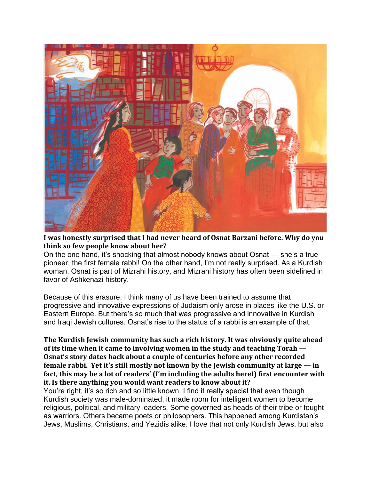

**I was honestly surprised that I had never heard of Osnat Barzani before. Why do you think so few people know about her?**

On the one hand, it's shocking that almost nobody knows about Osnat — she's a true pioneer, the first female rabbi! On the other hand, I'm not really surprised. As a Kurdish woman, Osnat is part of Mizrahi history, and Mizrahi history has often been sidelined in favor of Ashkenazi history.

Because of this erasure, I think many of us have been trained to assume that progressive and innovative expressions of Judaism only arose in places like the U.S. or Eastern Europe. But there's so much that was progressive and innovative in Kurdish and Iraqi Jewish cultures. Osnat's rise to the status of a rabbi is an example of that.

#### **The Kurdish Jewish community has such a rich history. It was obviously quite ahead of its time when it came to involving women in the study and teaching Torah — Osnat's story dates back about a couple of centuries before any other recorded female rabbi. Yet it's still mostly not known by the Jewish community at large — in fact, this may be a lot of readers' (I'm including the adults here!) first encounter with it. Is there anything you would want readers to know about it?**

You're right, it's so rich and so little known. I find it really special that even though Kurdish society was male-dominated, it made room for intelligent women to become religious, political, and military leaders. Some governed as heads of their tribe or fought as warriors. Others became poets or philosophers. This happened among Kurdistan's Jews, Muslims, Christians, and Yezidis alike. I love that not only Kurdish Jews, but also